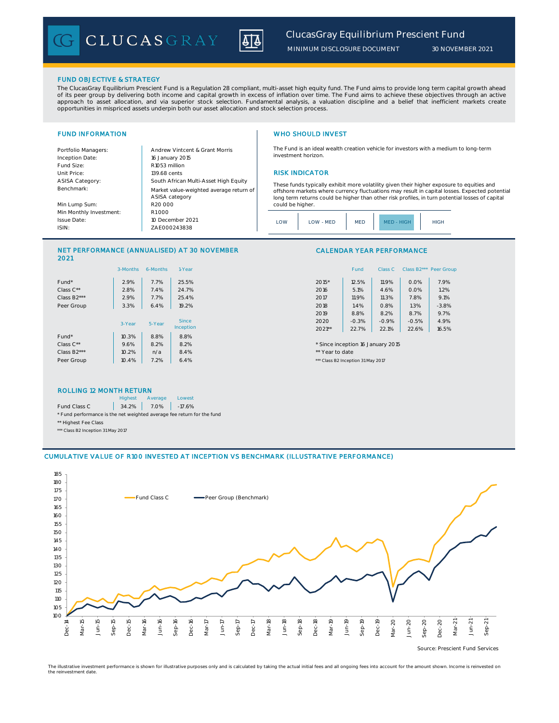

*MINIMUM DISCLOSURE DOCUMENT*

# FUND OBJECTIVE & STRATEGY

Fund Size: R1053 million

The ClucasGray Equilibrium Prescient Fund is a Regulation 28 compliant, multi-asset high equity fund. The Fund aims to provide long term capital growth ahead of its peer group by delivering both income and capital growth in excess of inflation over time. The Fund aims to achieve these objectives through an active<br>approach to asset allocation, and via superior stock selection. F

Inception Date:

ASISA Category: Benchmark: Min Lump Sum: Min Monthly Investment:

Issue Date: ISIN:

# FUND INFORMATION WHO SHOULD INVEST

The Fund is an ideal wealth creation vehicle for investors with a medium to long-term investment horizon.

### Unit Price: 139.68 cents **RISK INDICATOR**

These funds typically exhibit more volatility given their higher exposure to equities and offshore markets where currency fluctuations may result in capital losses. Expected potential long term returns could be higher than other risk profiles, in turn potential losses of capital could be higher.



# NET PERFORMANCE (ANNUALISED) AT 30 NOVEMBER 2021

ZAE000243838

10 December 2021

ASISA category

R20 000

R1 000

16 January 2015

South African Multi-Asset High Equity

Market value-weighted average return of

Portfolio Managers: Andrew Vintcent & Grant Morris

|             | 3-Months | 6-Months | 1-Year       | Class B <sub>2</sub> *** Peer Gro<br>Class C<br>Fund |
|-------------|----------|----------|--------------|------------------------------------------------------|
| Fund*       | 2.9%     | 7.7%     | 25.5%        | 2015*<br>7.9%<br>12.5%<br>11.9%<br>0.0%              |
| Class C**   | 2.8%     | 7.4%     | 24.7%        | 2016<br>1.2%<br>5.1%<br>0.0%<br>4.6%                 |
| Class B2*** | 2.9%     | 7.7%     | 25.4%        | 2017<br>7.8%<br>9.1%<br>11.9%<br>11.3%               |
| Peer Group  | 3.3%     | 6.4%     | 19.2%        | 2018<br>$-3.8%$<br>1.4%<br>1.3%<br>0.8%              |
|             |          |          |              | 8.7%<br>2019<br>9.7%<br>8.8%<br>8.2%                 |
|             | 3-Year   | 5-Year   | <b>Since</b> | 2020<br>$-0.3%$<br>$-0.5%$<br>4.9%<br>$-0.9%$        |
|             |          |          | Inception    | 2021**<br>22.7%<br>16.5%<br>22.1%<br>22.6%           |
| Fund*       | 10.3%    | 8.8%     | 8.8%         |                                                      |
| Class C**   | 9.6%     | 8.2%     | 8.2%         | * Since inception 16 January 2015                    |
| Class B2*** | 10.2%    | n/a      | 8.4%         | ** Year to date                                      |
| Peer Group  | 10.4%    | 7.2%     | 6.4%         | *** Class B2 Inception 31 May 2017                   |
|             |          |          |              |                                                      |

# Fund Class C Class B2\*\*\* Peer Group

CALENDAR YEAR PERFORMANCE

| $2015*$  | 12.5%   | 11.9%   | $0.0\%$ | 7.9%    |
|----------|---------|---------|---------|---------|
| 2016     | 5.1%    | 4.6%    | 0.0%    | 1.2%    |
| 2017     | 11.9%   | 11.3%   | 7.8%    | 9.1%    |
| 2018     | 1.4%    | 0.8%    | 1.3%    | $-3.8%$ |
| 2019     | 8.8%    | 8.2%    | 8.7%    | 9.7%    |
| 2020     | $-0.3%$ | $-0.9%$ | $-0.5%$ | 4.9%    |
| $2021**$ | 22.7%   | 22.1%   | 22.6%   | 16.5%   |

# ROLLING 12 MONTH RETURN

|                                                                        | <b>Highest</b> | Average    | Lowest   |  |  |  |
|------------------------------------------------------------------------|----------------|------------|----------|--|--|--|
| Fund Class C                                                           |                | 34.2% 7.0% | $-17.6%$ |  |  |  |
| * Fund performance is the net weighted average fee return for the fund |                |            |          |  |  |  |
| ** Highest Fee Class                                                   |                |            |          |  |  |  |
| *** Class B2 Inception 31 May 2017                                     |                |            |          |  |  |  |



The illustrative investment performance is shown for illustrative purposes only and is calculated by taking the actual initial fees and all ongoing fees into account for the amount shown. Income is reinvested on the reinvestment date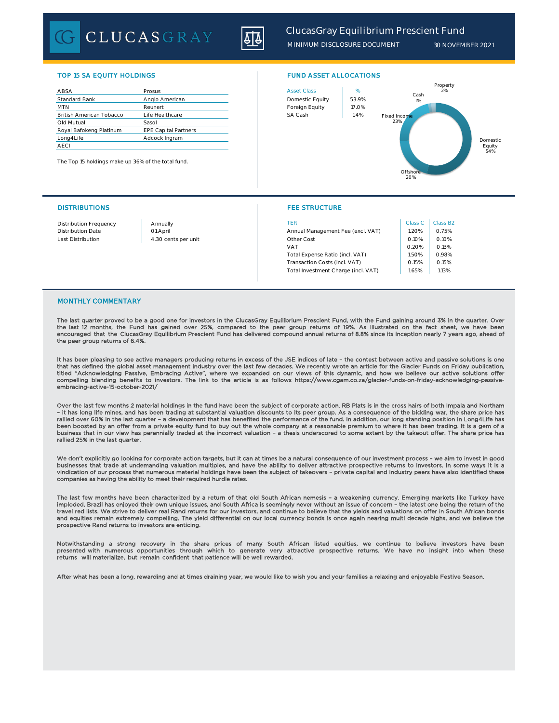CLUCASGRAY



*MINIMUM DISCLOSURE DOCUMENT 30 NOVEMBER 2021*

# TOP 15 SA EQUITY HOLDINGS FUND ASSET ALLOCATIONS

| ABSA                            | Prosus                      |  | <b>Asset Class</b> | %     |
|---------------------------------|-----------------------------|--|--------------------|-------|
| <b>Standard Bank</b>            | Anglo American              |  | Domestic Equity    | 53.99 |
| <b>MTN</b>                      | Reunert                     |  | Foreign Equity     | 17.09 |
| <b>British American Tobacco</b> | Life Healthcare             |  | SA Cash            | 1.4%  |
| Old Mutual                      | Sasol                       |  |                    |       |
| Royal Bafokeng Platinum         | <b>EPE Capital Partners</b> |  |                    |       |
| Long4Life                       | Adcock Ingram               |  |                    |       |
| <b>AECI</b>                     |                             |  |                    |       |

The Top 15 holdings make up 36% of the total fund.



### DISTRIBUTIONS FEE STRUCTURE

| <b>Distribution Frequency</b> | Annually            | TER                                 | Class C | Class B <sub>2</sub> |
|-------------------------------|---------------------|-------------------------------------|---------|----------------------|
| <b>Distribution Date</b>      | 01 April            | Annual Management Fee (excl. VAT)   | .20%    | 0.75%                |
| Last Distribution             | 4.30 cents per unit | Other Cost                          | 0.10%   | 0.10%                |
|                               |                     | VAT                                 | 0.20%   | 0.13%                |
|                               |                     | Total Expense Ratio (incl. VAT)     | .50%    | 0.98%                |
|                               |                     | Transaction Costs (incl. VAT)       | 0.15%   | 0.15%                |
|                               |                     | Total Investment Charge (incl. VAT) | .65%    | 1.13%                |

## MONTHLY COMMENTARY

The last quarter proved to be a good one for investors in the ClucasGray Equilibrium Prescient Fund, with the Fund gaining around 3% in the quarter. Over the last 12 months, the Fund has gained over 25%, compared to the peer group returns of 19%. As illustrated on the fact sheet, we have been<br>encouraged that the ClucasGray Equilibrium Prescient Fund has delivered compound a the peer group returns of 6.4%.

It has been pleasing to see active managers producing returns in excess of the JSE indices of late - the contest between active and passive solutions is one that has defined the global asset management industry over the last few decades. We recently wrote an article for the Glacier Funds on Friday publication,<br>titled "Acknowledging Passive, Embracing Active", where we expanded compelling blending benefits to investors. The link to the article is as follows https://www.cgam.co.za/glacier-funds-on-friday-acknowledging-passiveembracing-active-15-october-2021/

Over the last few months 2 material holdings in the fund have been the subject of corporate action. RB Plats is in the cross hairs of both Impala and Northam<br>- it has long life mines, and has been trading at substantial va rallied over 60% in the last quarter – a development that has benefited the performance of the fund. In addition, our long standing position in Long4Life has been boosted by an offer from a private equity fund to buy out the whole company at a reasonable premium to where it has been trading. It is a gem of a business that in our view has perennially traded at the incorrect valuation – a thesis underscored to some extent by the takeout offer. The share price has rallied 25% in the last quarter.

We don't explicitly go looking for corporate action targets, but it can at times be a natural consequence of our investment process – we aim to invest in good businesses that trade at undemanding valuation multiples, and have the ability to deliver attractive prospective returns to investors. In some ways it is a vindication of our process that numerous material holdings have been the subject of takeovers – private capital and industry peers have also identified these companies as having the ability to meet their required hurdle rates.

The last few months have been characterized by a return of that old South African nemesis - a weakening currency. Emerging markets like Turkey have<br>imploded, Brazil has enjoyed their own unique issues, and South Africa is travel red lists. We strive to deliver real Rand returns for our investors, and continue to believe that the yields and valuations on offer in South African bonds and equities remain extremely compelling. The yield differential on our local currency bonds is once again nearing multi decade highs, and we believe the prospective Rand returns to investors are enticing.

Notwithstanding a strong recovery in the share prices of many South African listed equities, we continue to believe investors have been<br>presented-with numerous opportunities through which to generate very attractive prospe

After what has been a long, rewarding and at times draining year, we would like to wish you and your families a relaxing and enjoyable Festive Season.